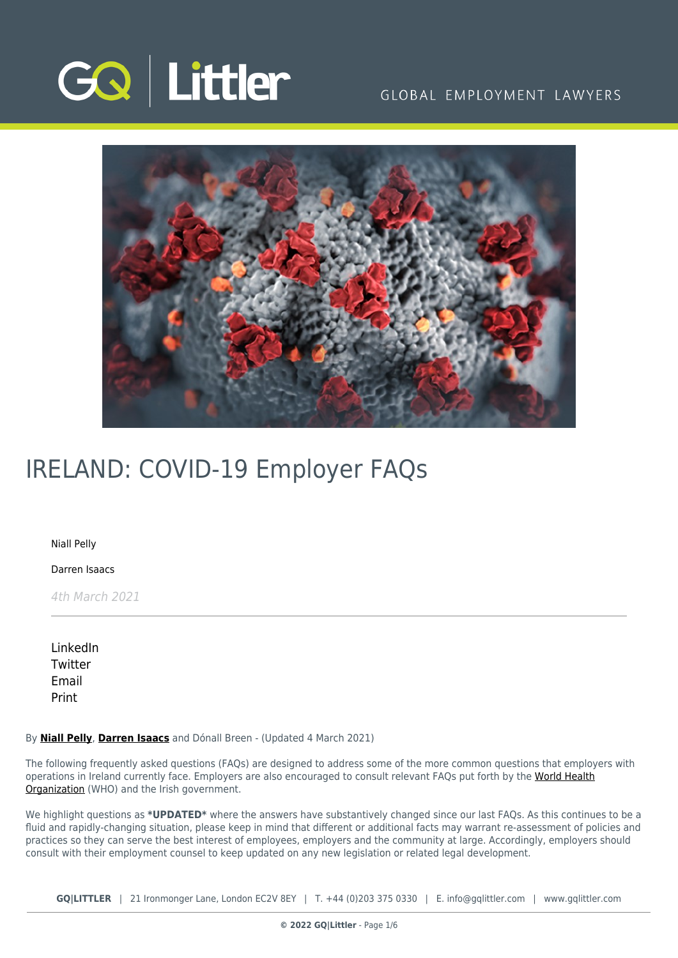

## GLOBAL EMPLOYMENT LAWYERS



# IRELAND: COVID-19 Employer FAQs

[Niall Pelly](https://www.gqlittler.com/about-us/the-team/niall-pelly)

[Darren Isaacs](https://www.gqlittler.com/about-us/the-team/darren-isaacs)

4th March 2021

[LinkedIn](https://www.linkedin.com/shareArticle?mini=true&url=https%3A%2F%2Fwww.gqlittler.com%2Fresources%2Fnews-and-views%2Fireland-covid-19-employer-faqs.htm%3Funlock%3Dtrue&title=IRELAND%3A+COVID-19+Employer+FAQs&summary=The+following+FAQs+are+designed+to+address+some+of+the+more+common+questions+that+employers+with+operations+in+Ireland+currently+face.&source=GQ+%7C+Littler) **[Twitter](https://twitter.com/share?text=IRELAND%3A+COVID-19+Employer+FAQs&url=https%3A%2F%2Fwww.gqlittler.com%2Fresources%2Fnews-and-views%2Fireland-covid-19-employer-faqs.htm&hashtags=)** [Email](mailto:?subject=IRELAND: COVID-19 Employer FAQs&body=I) [Print](https://www.bg-pdf.co.uk/_GQ/page.php?M=6148523063484d364c793933643363755a33467361585230624756794c6d4e76625339795a584e7664584a6a5a584d76626d563363793168626d5174646d6c6c64334d7661584a6c624746755a43316a62335a705a4330784f53316c6258427362336c6c6369316d5958467a4c6d683062534e4149306c5352557842546b513649454e50566b6c454c54453549455674634778766557567949455a4255584d6a51434e70636d56735957356b4c574e76646d6c6b4c5445354c57567463477876655756794c575a6863584d3d)

#### By **[Niall Pelly](https://www.gqlittler.com/about-us/the-team/niall-pelly)**, **[Darren Isaacs](https://www.gqlittler.com/about-us/the-team/darren-isaacs)** and Dónall Breen - (Updated 4 March 2021)

The following frequently asked questions (FAQs) are designed to address some of the more common questions that employers with operations in Ireland currently face. Employers are also encouraged to consult relevant FAQs put forth by the [World Health](https://www.who.int/emergencies/diseases/novel-coronavirus-2019) [Organization](https://www.who.int/emergencies/diseases/novel-coronavirus-2019) (WHO) and the Irish government.

We highlight questions as **\*UPDATED\*** where the answers have substantively changed since our last FAQs. As this continues to be a fluid and rapidly-changing situation, please keep in mind that different or additional facts may warrant re-assessment of policies and practices so they can serve the best interest of employees, employers and the community at large. Accordingly, employers should consult with their employment counsel to keep updated on any new legislation or related legal development.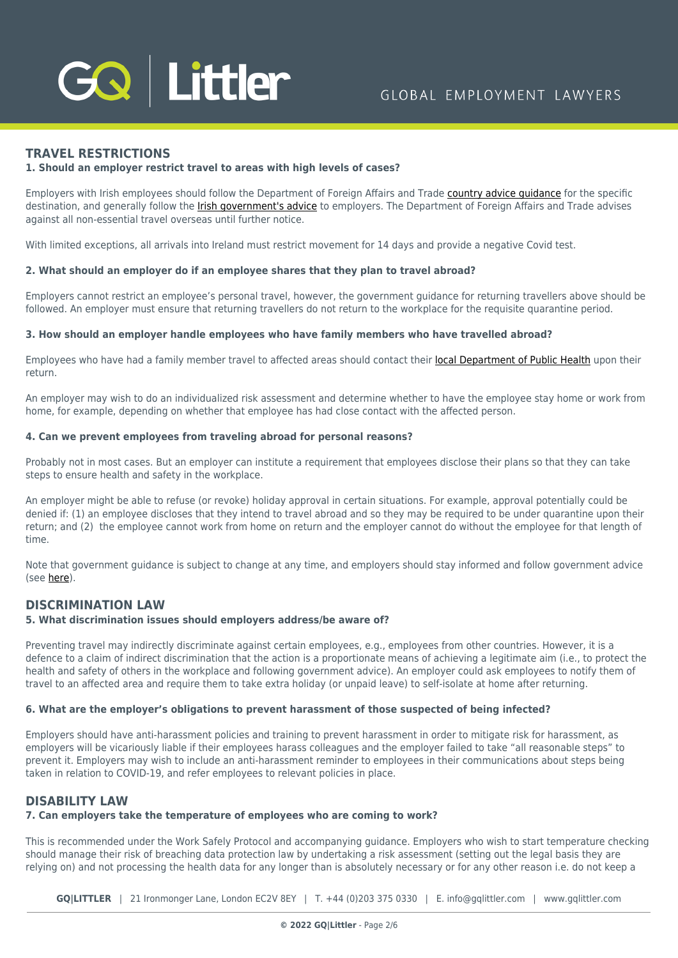

## **TRAVEL RESTRICTIONS**

## **1. Should an employer restrict travel to areas with high levels of cases?**

Employers with Irish employees should follow the Department of Foreign Affairs and Trade [country advice guidance](https://www.dfa.ie/travel/) for the specific destination, and generally follow the [Irish government's advice](https://www.gov.ie/en/publication/99104a-covid-19-coronavirus/) to employers. The Department of Foreign Affairs and Trade advises against all non-essential travel overseas until further notice.

With limited exceptions, all arrivals into Ireland must restrict movement for 14 days and provide a negative Covid test.

#### **2. What should an employer do if an employee shares that they plan to travel abroad?**

Employers cannot restrict an employee's personal travel, however, the government guidance for returning travellers above should be followed. An employer must ensure that returning travellers do not return to the workplace for the requisite quarantine period.

#### **3. How should an employer handle employees who have family members who have travelled abroad?**

Employees who have had a family member travel to affected areas should contact their [local Department of Public Health](https://www.hse.ie/eng/services/list/5/publichealth/publichealthdepts/contact/phoffices.html) upon their return.

An employer may wish to do an individualized risk assessment and determine whether to have the employee stay home or work from home, for example, depending on whether that employee has had close contact with the affected person.

#### **4. Can we prevent employees from traveling abroad for personal reasons?**

Probably not in most cases. But an employer can institute a requirement that employees disclose their plans so that they can take steps to ensure health and safety in the workplace.

An employer might be able to refuse (or revoke) holiday approval in certain situations. For example, approval potentially could be denied if: (1) an employee discloses that they intend to travel abroad and so they may be required to be under quarantine upon their return; and (2) the employee cannot work from home on return and the employer cannot do without the employee for that length of time.

Note that government guidance is subject to change at any time, and employers should stay informed and follow government advice (see [here\)](https://www.gov.ie/en/publication/e885b2-covid-19-coronavirus-travel-advice).

## **DISCRIMINATION LAW**

## **5. What discrimination issues should employers address/be aware of?**

Preventing travel may indirectly discriminate against certain employees, e.g., employees from other countries. However, it is a defence to a claim of indirect discrimination that the action is a proportionate means of achieving a legitimate aim (i.e., to protect the health and safety of others in the workplace and following government advice). An employer could ask employees to notify them of travel to an affected area and require them to take extra holiday (or unpaid leave) to self-isolate at home after returning.

## **6. What are the employer's obligations to prevent harassment of those suspected of being infected?**

Employers should have anti-harassment policies and training to prevent harassment in order to mitigate risk for harassment, as employers will be vicariously liable if their employees harass colleagues and the employer failed to take "all reasonable steps" to prevent it. Employers may wish to include an anti-harassment reminder to employees in their communications about steps being taken in relation to COVID-19, and refer employees to relevant policies in place.

## **DISABILITY LAW**

## **7. Can employers take the temperature of employees who are coming to work?**

This is recommended under the Work Safely Protocol and accompanying guidance. Employers who wish to start temperature checking should manage their risk of breaching data protection law by undertaking a risk assessment (setting out the legal basis they are relying on) and not processing the health data for any longer than is absolutely necessary or for any other reason i.e. do not keep a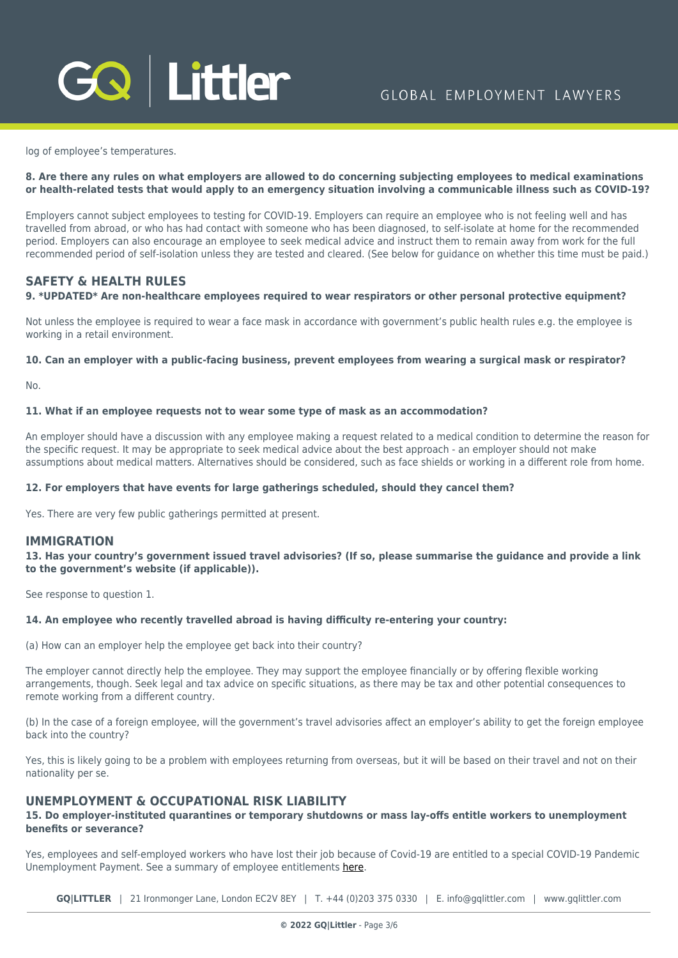

log of employee's temperatures.

## **8. Are there any rules on what employers are allowed to do concerning subjecting employees to medical examinations or health-related tests that would apply to an emergency situation involving a communicable illness such as COVID-19?**

Employers cannot subject employees to testing for COVID-19. Employers can require an employee who is not feeling well and has travelled from abroad, or who has had contact with someone who has been diagnosed, to self-isolate at home for the recommended period. Employers can also encourage an employee to seek medical advice and instruct them to remain away from work for the full recommended period of self-isolation unless they are tested and cleared. (See below for guidance on whether this time must be paid.)

## **SAFETY & HEALTH RULES**

## **9. \*UPDATED\* Are non-healthcare employees required to wear respirators or other personal protective equipment?**

Not unless the employee is required to wear a face mask in accordance with government's public health rules e.g. the employee is working in a retail environment.

#### **10. Can an employer with a public-facing business, prevent employees from wearing a surgical mask or respirator?**

No.

#### **11. What if an employee requests not to wear some type of mask as an accommodation?**

An employer should have a discussion with any employee making a request related to a medical condition to determine the reason for the specific request. It may be appropriate to seek medical advice about the best approach - an employer should not make assumptions about medical matters. Alternatives should be considered, such as face shields or working in a different role from home.

#### **12. For employers that have events for large gatherings scheduled, should they cancel them?**

Yes. There are very few public gatherings permitted at present.

## **IMMIGRATION**

**13. Has your country's government issued travel advisories? (If so, please summarise the guidance and provide a link to the government's website (if applicable)).**

See response to question 1.

## **14. An employee who recently travelled abroad is having difficulty re-entering your country:**

(a) How can an employer help the employee get back into their country?

The employer cannot directly help the employee. They may support the employee financially or by offering flexible working arrangements, though. Seek legal and tax advice on specific situations, as there may be tax and other potential consequences to remote working from a different country.

(b) In the case of a foreign employee, will the government's travel advisories affect an employer's ability to get the foreign employee back into the country?

Yes, this is likely going to be a problem with employees returning from overseas, but it will be based on their travel and not on their nationality per se.

## **UNEMPLOYMENT & OCCUPATIONAL RISK LIABILITY**

## **15. Do employer-instituted quarantines or temporary shutdowns or mass lay-offs entitle workers to unemployment benefits or severance?**

Yes, employees and self-employed workers who have lost their job because of Covid-19 are entitled to a special COVID-19 Pandemic Unemployment Payment. See a summary of employee entitlements [here.](https://www.gov.ie/en/service/be74d3-covid-19-pandemic-unemployment-payment)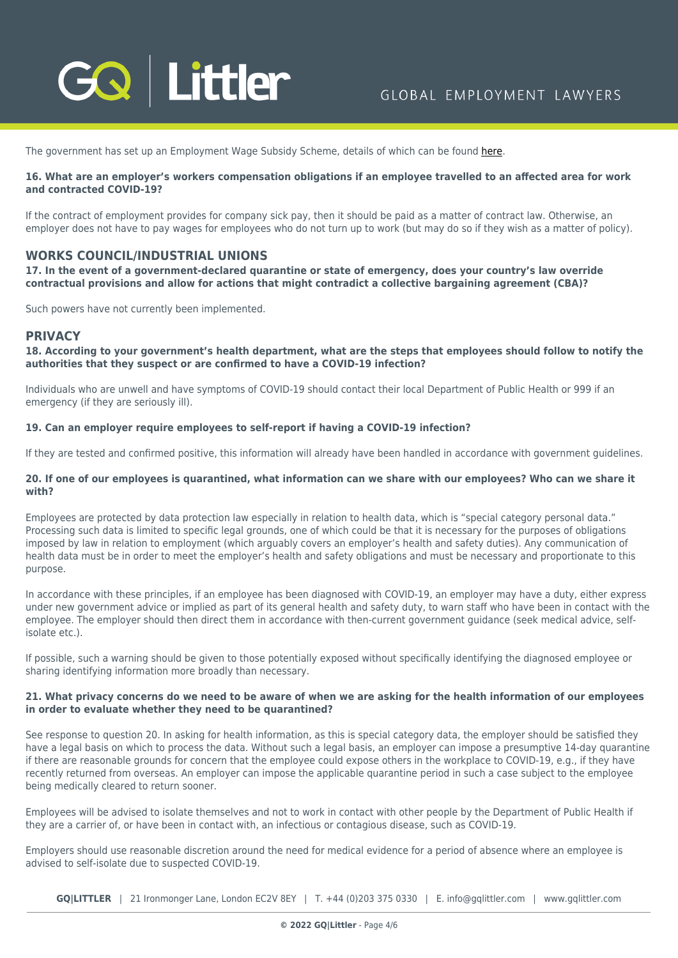

The government has set up an Employment Wage Subsidy Scheme, details of which can be found [here](https://www.citizensinformation.ie/en/employment/unemployment_and_redundancy/employment_support_scheme.html).

## **16. What are an employer's workers compensation obligations if an employee travelled to an affected area for work and contracted COVID-19?**

If the contract of employment provides for company sick pay, then it should be paid as a matter of contract law. Otherwise, an employer does not have to pay wages for employees who do not turn up to work (but may do so if they wish as a matter of policy).

## **WORKS COUNCIL/INDUSTRIAL UNIONS**

**17. In the event of a government-declared quarantine or state of emergency, does your country's law override contractual provisions and allow for actions that might contradict a collective bargaining agreement (CBA)?** 

Such powers have not currently been implemented.

## **PRIVACY**

**18. According to your government's health department, what are the steps that employees should follow to notify the authorities that they suspect or are confirmed to have a COVID-19 infection?**

Individuals who are unwell and have symptoms of COVID-19 should contact their local Department of Public Health or 999 if an emergency (if they are seriously ill).

## **19. Can an employer require employees to self-report if having a COVID-19 infection?**

If they are tested and confirmed positive, this information will already have been handled in accordance with government guidelines.

## **20. If one of our employees is quarantined, what information can we share with our employees? Who can we share it with?**

Employees are protected by data protection law especially in relation to health data, which is "special category personal data." Processing such data is limited to specific legal grounds, one of which could be that it is necessary for the purposes of obligations imposed by law in relation to employment (which arguably covers an employer's health and safety duties). Any communication of health data must be in order to meet the employer's health and safety obligations and must be necessary and proportionate to this purpose.

In accordance with these principles, if an employee has been diagnosed with COVID-19, an employer may have a duty, either express under new government advice or implied as part of its general health and safety duty, to warn staff who have been in contact with the employee. The employer should then direct them in accordance with then-current government guidance (seek medical advice, selfisolate etc.).

If possible, such a warning should be given to those potentially exposed without specifically identifying the diagnosed employee or sharing identifying information more broadly than necessary.

## **21. What privacy concerns do we need to be aware of when we are asking for the health information of our employees in order to evaluate whether they need to be quarantined?**

See response to question 20. In asking for health information, as this is special category data, the employer should be satisfied they have a legal basis on which to process the data. Without such a legal basis, an employer can impose a presumptive 14-day quarantine if there are reasonable grounds for concern that the employee could expose others in the workplace to COVID-19, e.g., if they have recently returned from overseas. An employer can impose the applicable quarantine period in such a case subject to the employee being medically cleared to return sooner.

Employees will be advised to isolate themselves and not to work in contact with other people by the Department of Public Health if they are a carrier of, or have been in contact with, an infectious or contagious disease, such as COVID-19.

Employers should use reasonable discretion around the need for medical evidence for a period of absence where an employee is advised to self-isolate due to suspected COVID-19.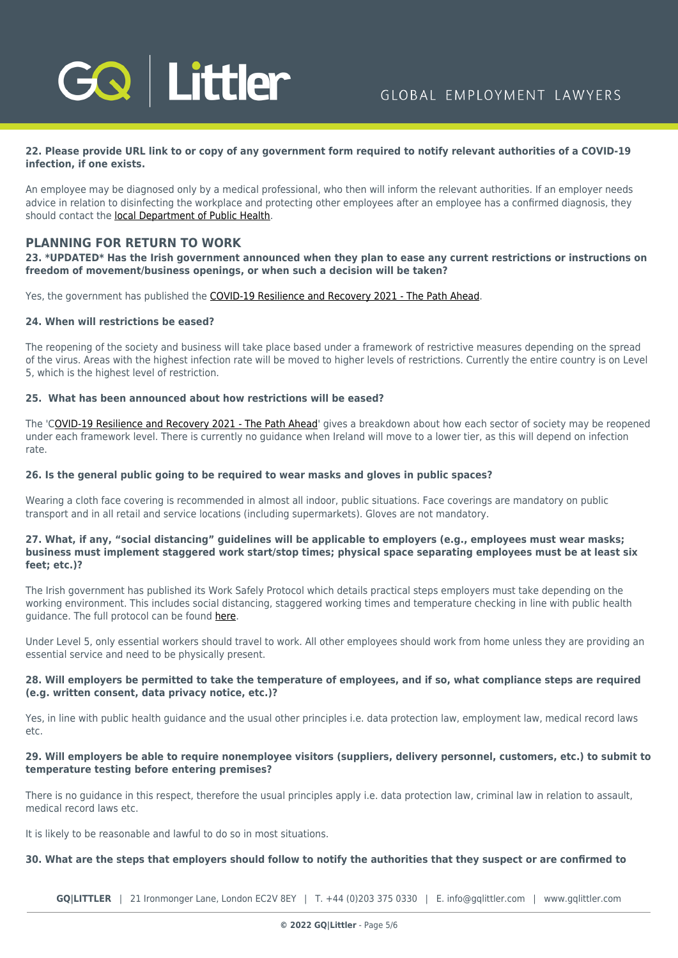

## **22. Please provide URL link to or copy of any government form required to notify relevant authorities of a COVID-19 infection, if one exists.**

An employee may be diagnosed only by a medical professional, who then will inform the relevant authorities. If an employer needs advice in relation to disinfecting the workplace and protecting other employees after an employee has a confirmed diagnosis, they should contact the [local Department of Public Health](https://www.hse.ie/eng/services/list/5/publichealth/publichealthdepts/contact/phoffices.html).

## **PLANNING FOR RETURN TO WORK**

## **23. \*UPDATED\* Has the Irish government announced when they plan to ease any current restrictions or instructions on freedom of movement/business openings, or when such a decision will be taken?**

Yes, the government has published the [COVID-19 Resilience and Recovery 2021 - The Path Ahead](https://www.gov.ie/en/campaigns/resilience-recovery-2020-2021-plan-for-living-with-covid-19/).

## **24. When will restrictions be eased?**

The reopening of the society and business will take place based under a framework of restrictive measures depending on the spread of the virus. Areas with the highest infection rate will be moved to higher levels of restrictions. Currently the entire country is on Level 5, which is the highest level of restriction.

## **25. What has been announced about how restrictions will be eased?**

The '[COVID-19 Resilience and Recovery 2021 - The Path Ahead](https://www.gov.ie/en/campaigns/resilience-recovery-2020-2021-plan-for-living-with-covid-19/)' gives a breakdown about how each sector of society may be reopened under each framework level. There is currently no guidance when Ireland will move to a lower tier, as this will depend on infection rate.

#### **26. Is the general public going to be required to wear masks and gloves in public spaces?**

Wearing a cloth face covering is recommended in almost all indoor, public situations. Face coverings are mandatory on public transport and in all retail and service locations (including supermarkets). Gloves are not mandatory.

## **27. What, if any, "social distancing" guidelines will be applicable to employers (e.g., employees must wear masks; business must implement staggered work start/stop times; physical space separating employees must be at least six feet; etc.)?**

The Irish government has published its Work Safely Protocol which details practical steps employers must take depending on the working environment. This includes social distancing, staggered working times and temperature checking in line with public health guidance. The full protocol can be found [here](https://www.gov.ie/en/publication/bb7fd-work-safely-protocol/).

Under Level 5, only essential workers should travel to work. All other employees should work from home unless they are providing an essential service and need to be physically present.

## **28. Will employers be permitted to take the temperature of employees, and if so, what compliance steps are required (e.g. written consent, data privacy notice, etc.)?**

Yes, in line with public health guidance and the usual other principles i.e. data protection law, employment law, medical record laws etc.

## **29. Will employers be able to require nonemployee visitors (suppliers, delivery personnel, customers, etc.) to submit to temperature testing before entering premises?**

There is no guidance in this respect, therefore the usual principles apply i.e. data protection law, criminal law in relation to assault, medical record laws etc.

It is likely to be reasonable and lawful to do so in most situations.

#### **30. What are the steps that employers should follow to notify the authorities that they suspect or are confirmed to**